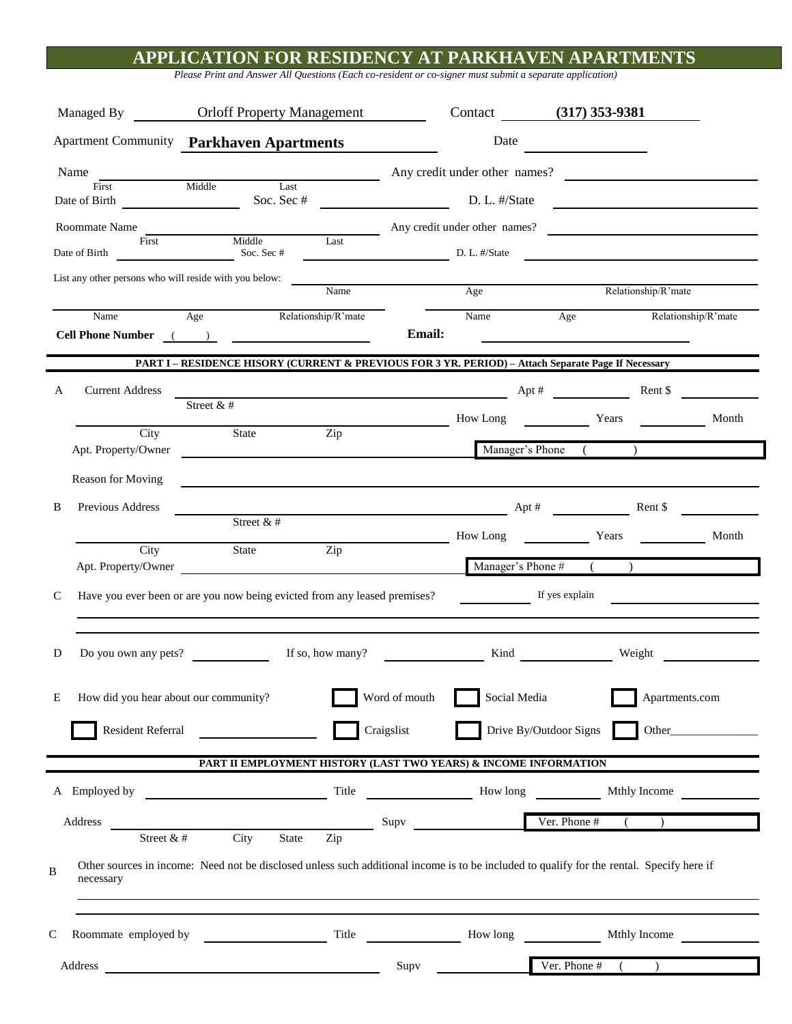## **APPLICATION FOR RESIDENCY AT PARKHAVEN APARTMENTS**

*Please Print and Answer All Questions (Each co-resident or co-signer must submit a separate application)*

| Managed By                        |                             | <b>Orloff Property Management</b>                                                                                                                                                                                                                                                                                                                                                                                                                                                                                                                                                                                                                                                                                                                                                                                                                                                                                                                                                                                                                                                                                                                                                                                                                                                                                                                                                                                                                                                                                                                                                                                                                                                                                                                                                                                                                                                                                                                                                                                                                                                                                                                                                                       |                     | Contact (317) 353-9381 |               |                               |                     |       |
|-----------------------------------|-----------------------------|---------------------------------------------------------------------------------------------------------------------------------------------------------------------------------------------------------------------------------------------------------------------------------------------------------------------------------------------------------------------------------------------------------------------------------------------------------------------------------------------------------------------------------------------------------------------------------------------------------------------------------------------------------------------------------------------------------------------------------------------------------------------------------------------------------------------------------------------------------------------------------------------------------------------------------------------------------------------------------------------------------------------------------------------------------------------------------------------------------------------------------------------------------------------------------------------------------------------------------------------------------------------------------------------------------------------------------------------------------------------------------------------------------------------------------------------------------------------------------------------------------------------------------------------------------------------------------------------------------------------------------------------------------------------------------------------------------------------------------------------------------------------------------------------------------------------------------------------------------------------------------------------------------------------------------------------------------------------------------------------------------------------------------------------------------------------------------------------------------------------------------------------------------------------------------------------------------|---------------------|------------------------|---------------|-------------------------------|---------------------|-------|
|                                   |                             | <b>Apartment Community Parkhaven Apartments</b>                                                                                                                                                                                                                                                                                                                                                                                                                                                                                                                                                                                                                                                                                                                                                                                                                                                                                                                                                                                                                                                                                                                                                                                                                                                                                                                                                                                                                                                                                                                                                                                                                                                                                                                                                                                                                                                                                                                                                                                                                                                                                                                                                         |                     |                        | Date          |                               |                     |       |
| Name                              |                             |                                                                                                                                                                                                                                                                                                                                                                                                                                                                                                                                                                                                                                                                                                                                                                                                                                                                                                                                                                                                                                                                                                                                                                                                                                                                                                                                                                                                                                                                                                                                                                                                                                                                                                                                                                                                                                                                                                                                                                                                                                                                                                                                                                                                         |                     |                        |               | Any credit under other names? |                     |       |
| First<br>Date of Birth            |                             | Middle<br>Last<br>Soc. Sec #                                                                                                                                                                                                                                                                                                                                                                                                                                                                                                                                                                                                                                                                                                                                                                                                                                                                                                                                                                                                                                                                                                                                                                                                                                                                                                                                                                                                                                                                                                                                                                                                                                                                                                                                                                                                                                                                                                                                                                                                                                                                                                                                                                            |                     |                        | D. L. #/State |                               |                     |       |
| Roommate Name                     |                             | Middle Last                                                                                                                                                                                                                                                                                                                                                                                                                                                                                                                                                                                                                                                                                                                                                                                                                                                                                                                                                                                                                                                                                                                                                                                                                                                                                                                                                                                                                                                                                                                                                                                                                                                                                                                                                                                                                                                                                                                                                                                                                                                                                                                                                                                             |                     |                        |               | Any credit under other names? |                     |       |
| First<br>Date of Birth Soc. Sec # |                             |                                                                                                                                                                                                                                                                                                                                                                                                                                                                                                                                                                                                                                                                                                                                                                                                                                                                                                                                                                                                                                                                                                                                                                                                                                                                                                                                                                                                                                                                                                                                                                                                                                                                                                                                                                                                                                                                                                                                                                                                                                                                                                                                                                                                         |                     | D. L. #/State          |               |                               |                     |       |
|                                   |                             | List any other persons who will reside with you below:                                                                                                                                                                                                                                                                                                                                                                                                                                                                                                                                                                                                                                                                                                                                                                                                                                                                                                                                                                                                                                                                                                                                                                                                                                                                                                                                                                                                                                                                                                                                                                                                                                                                                                                                                                                                                                                                                                                                                                                                                                                                                                                                                  |                     |                        |               |                               |                     |       |
|                                   |                             |                                                                                                                                                                                                                                                                                                                                                                                                                                                                                                                                                                                                                                                                                                                                                                                                                                                                                                                                                                                                                                                                                                                                                                                                                                                                                                                                                                                                                                                                                                                                                                                                                                                                                                                                                                                                                                                                                                                                                                                                                                                                                                                                                                                                         | Name                |                        | Age           |                               | Relationship/R'mate |       |
|                                   | Name                        | Age<br>Cell Phone Number ( ) 2008                                                                                                                                                                                                                                                                                                                                                                                                                                                                                                                                                                                                                                                                                                                                                                                                                                                                                                                                                                                                                                                                                                                                                                                                                                                                                                                                                                                                                                                                                                                                                                                                                                                                                                                                                                                                                                                                                                                                                                                                                                                                                                                                                                       | Relationship/R'mate | <b>Email:</b>          | Name          | Age                           | Relationship/R'mate |       |
|                                   |                             | PART I - RESIDENCE HISORY (CURRENT & PREVIOUS FOR 3 YR. PERIOD) - Attach Separate Page If Necessary                                                                                                                                                                                                                                                                                                                                                                                                                                                                                                                                                                                                                                                                                                                                                                                                                                                                                                                                                                                                                                                                                                                                                                                                                                                                                                                                                                                                                                                                                                                                                                                                                                                                                                                                                                                                                                                                                                                                                                                                                                                                                                     |                     |                        |               |                               |                     |       |
| А                                 | <b>Current Address</b>      |                                                                                                                                                                                                                                                                                                                                                                                                                                                                                                                                                                                                                                                                                                                                                                                                                                                                                                                                                                                                                                                                                                                                                                                                                                                                                                                                                                                                                                                                                                                                                                                                                                                                                                                                                                                                                                                                                                                                                                                                                                                                                                                                                                                                         |                     |                        |               | $\Delta pt \#$ Rent \$        |                     |       |
|                                   |                             | Street & #                                                                                                                                                                                                                                                                                                                                                                                                                                                                                                                                                                                                                                                                                                                                                                                                                                                                                                                                                                                                                                                                                                                                                                                                                                                                                                                                                                                                                                                                                                                                                                                                                                                                                                                                                                                                                                                                                                                                                                                                                                                                                                                                                                                              |                     |                        | How Long      | Years                         |                     | Month |
|                                   | City<br>Apt. Property/Owner | State                                                                                                                                                                                                                                                                                                                                                                                                                                                                                                                                                                                                                                                                                                                                                                                                                                                                                                                                                                                                                                                                                                                                                                                                                                                                                                                                                                                                                                                                                                                                                                                                                                                                                                                                                                                                                                                                                                                                                                                                                                                                                                                                                                                                   | Zip                 |                        |               | Manager's Phone (             |                     |       |
|                                   | Reason for Moving           |                                                                                                                                                                                                                                                                                                                                                                                                                                                                                                                                                                                                                                                                                                                                                                                                                                                                                                                                                                                                                                                                                                                                                                                                                                                                                                                                                                                                                                                                                                                                                                                                                                                                                                                                                                                                                                                                                                                                                                                                                                                                                                                                                                                                         |                     |                        |               |                               |                     |       |
| B                                 | Previous Address            |                                                                                                                                                                                                                                                                                                                                                                                                                                                                                                                                                                                                                                                                                                                                                                                                                                                                                                                                                                                                                                                                                                                                                                                                                                                                                                                                                                                                                                                                                                                                                                                                                                                                                                                                                                                                                                                                                                                                                                                                                                                                                                                                                                                                         |                     |                        |               | $Apt \#$                      | Rent \$             |       |
|                                   |                             | Street &#</td><td></td><td></td><td>How Long</td><td>Years</td><td></td><td>Month</td></tr><tr><td></td><td>City</td><td>State</td><td>Zip</td><td></td><td></td><td>Manager's Phone <math>#</math> (</td><td></td><td></td></tr><tr><td></td><td></td><td>Apt. Property/Owner</td><td></td><td></td><td colspan=4>If yes explain</td></tr><tr><td>C</td><td></td><td>Have you ever been or are you now being evicted from any leased premises?</td><td></td><td></td><td></td><td></td><td>the contract of the contract of the contract of</td><td></td></tr><tr><td>D</td><td>Do you own any pets?</td><td></td><td>If so, how many?</td><td><math>\overline{\phantom{a}}</math></td><td></td><td></td><td>Weight</td><td></td></tr><tr><td></td><td></td><td></td><td></td><td></td><td></td><td></td><td></td><td></td></tr><tr><td>Ε</td><td>How did you hear about our community?</td><td></td><td></td><td>Word of mouth</td><td>Social Media</td><td></td><td>Apartments.com</td><td></td></tr><tr><td></td><td>Resident Referral</td><td></td><td></td><td>Craigslist</td><td></td><td>Drive By/Outdoor Signs</td><td></td><td></td></tr><tr><td></td><td></td><td>PART II EMPLOYMENT HISTORY (LAST TWO YEARS) & INCOME INFORMATION</td><td></td><td></td><td></td><td></td><td></td><td></td></tr><tr><td></td><td></td><td>A Employed by</td><td>Title</td><td></td><td></td><td></td><td></td><td></td></tr><tr><td></td><td>Address</td><td>City State Zip</td><td></td><td><math>S</math>upv<math>\qquad</math></td><td></td><td>Ver. Phone #</td><td></td><td></td></tr><tr><td>B</td><td>Street &#<br>necessary</td><td>Other sources in income: Need not be disclosed unless such additional income is to be included to qualify for the rental. Specify here if</td><td></td><td></td><td></td><td></td><td></td><td></td></tr><tr><td>C</td><td></td><td></td><td>Title</td><td></td><td>How long</td><td></td><td>Mthly Income</td><td></td></tr><tr><td></td><td></td><td></td><td></td><td>Supv</td><td></td><td>Ver. Phone #<math>(</math></td><td></td><td></td></tr><tr><td></td><td></td><td></td><td></td><td></td><td></td><td></td><td></td><td></td></tr></tbody></table> |                     |                        |               |                               |                     |       |